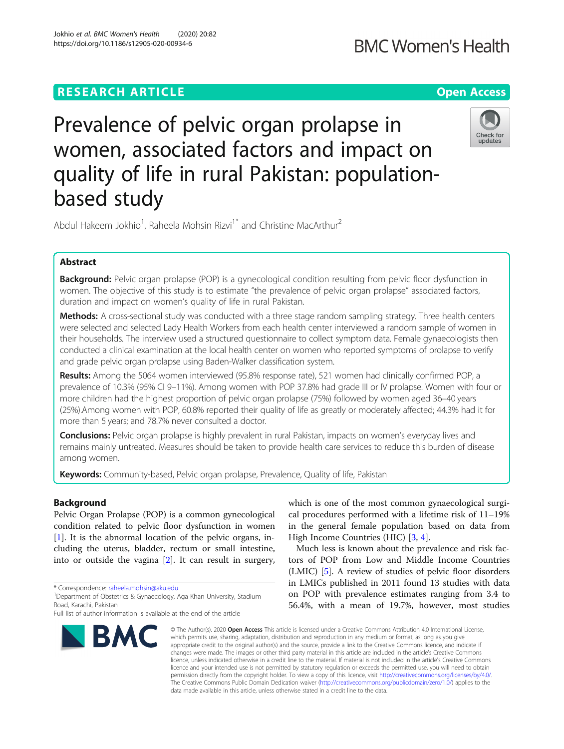# **BMC Women's Health**

# **RESEARCH ARTICLE Example 2014 12:30 The Contract of Contract ACCESS**

# Prevalence of pelvic organ prolapse in women, associated factors and impact on quality of life in rural Pakistan: populationbased study



Abdul Hakeem Jokhio<sup>1</sup>, Raheela Mohsin Rizvi<sup>1\*</sup> and Christine MacArthur<sup>2</sup>

# Abstract

**Background:** Pelvic organ prolapse (POP) is a gynecological condition resulting from pelvic floor dysfunction in women. The objective of this study is to estimate "the prevalence of pelvic organ prolapse" associated factors, duration and impact on women's quality of life in rural Pakistan.

**Methods:** A cross-sectional study was conducted with a three stage random sampling strategy. Three health centers were selected and selected Lady Health Workers from each health center interviewed a random sample of women in their households. The interview used a structured questionnaire to collect symptom data. Female gynaecologists then conducted a clinical examination at the local health center on women who reported symptoms of prolapse to verify and grade pelvic organ prolapse using Baden-Walker classification system.

Results: Among the 5064 women interviewed (95.8% response rate), 521 women had clinically confirmed POP, a prevalence of 10.3% (95% CI 9–11%). Among women with POP 37.8% had grade III or IV prolapse. Women with four or more children had the highest proportion of pelvic organ prolapse (75%) followed by women aged 36–40 years (25%).Among women with POP, 60.8% reported their quality of life as greatly or moderately affected; 44.3% had it for more than 5 years; and 78.7% never consulted a doctor.

**Conclusions:** Pelvic organ prolapse is highly prevalent in rural Pakistan, impacts on women's everyday lives and remains mainly untreated. Measures should be taken to provide health care services to reduce this burden of disease among women.

Keywords: Community-based, Pelvic organ prolapse, Prevalence, Quality of life, Pakistan

## Background

Pelvic Organ Prolapse (POP) is a common gynecological condition related to pelvic floor dysfunction in women [[1\]](#page-6-0). It is the abnormal location of the pelvic organs, including the uterus, bladder, rectum or small intestine, into or outside the vagina [[2\]](#page-6-0). It can result in surgery,

\* Correspondence: [raheela.mohsin@aku.edu](mailto:raheela.mohsin@aku.edu) <sup>1</sup>

Full list of author information is available at the end of the article



which is one of the most common gynaecological surgical procedures performed with a lifetime risk of 11–19% in the general female population based on data from High Income Countries (HIC) [\[3](#page-6-0), [4](#page-6-0)].

Much less is known about the prevalence and risk factors of POP from Low and Middle Income Countries (LMIC) [\[5](#page-6-0)]. A review of studies of pelvic floor disorders in LMICs published in 2011 found 13 studies with data on POP with prevalence estimates ranging from 3.4 to 56.4%, with a mean of 19.7%, however, most studies

© The Author(s), 2020 **Open Access** This article is licensed under a Creative Commons Attribution 4.0 International License, which permits use, sharing, adaptation, distribution and reproduction in any medium or format, as long as you give appropriate credit to the original author(s) and the source, provide a link to the Creative Commons licence, and indicate if changes were made. The images or other third party material in this article are included in the article's Creative Commons licence, unless indicated otherwise in a credit line to the material. If material is not included in the article's Creative Commons licence and your intended use is not permitted by statutory regulation or exceeds the permitted use, you will need to obtain permission directly from the copyright holder. To view a copy of this licence, visit [http://creativecommons.org/licenses/by/4.0/.](http://creativecommons.org/licenses/by/4.0/) The Creative Commons Public Domain Dedication waiver [\(http://creativecommons.org/publicdomain/zero/1.0/](http://creativecommons.org/publicdomain/zero/1.0/)) applies to the data made available in this article, unless otherwise stated in a credit line to the data.

<sup>&</sup>lt;sup>1</sup>Department of Obstetrics & Gynaecology, Aga Khan University, Stadium Road, Karachi, Pakistan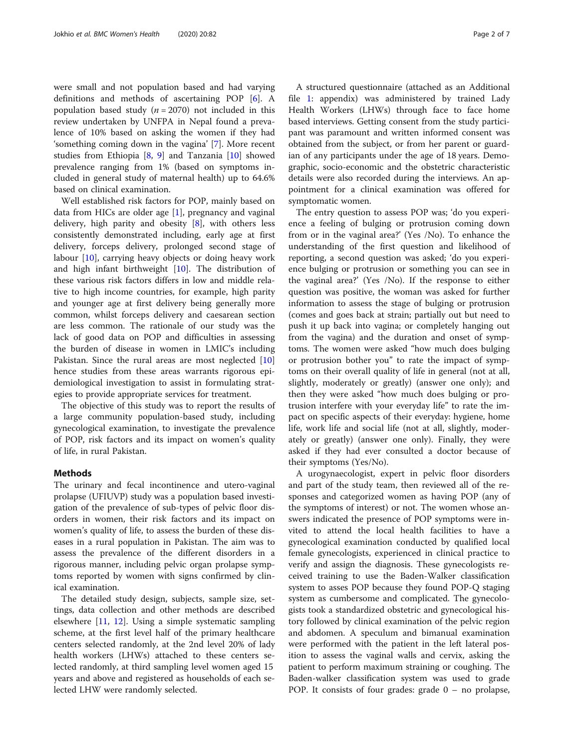were small and not population based and had varying definitions and methods of ascertaining POP [[6\]](#page-6-0). A population based study ( $n = 2070$ ) not included in this review undertaken by UNFPA in Nepal found a prevalence of 10% based on asking the women if they had 'something coming down in the vagina' [[7\]](#page-6-0). More recent studies from Ethiopia [[8,](#page-6-0) [9\]](#page-6-0) and Tanzania [[10](#page-6-0)] showed prevalence ranging from 1% (based on symptoms included in general study of maternal health) up to 64.6% based on clinical examination.

Well established risk factors for POP, mainly based on data from HICs are older age  $[1]$  $[1]$ , pregnancy and vaginal delivery, high parity and obesity  $[8]$ , with others less consistently demonstrated including, early age at first delivery, forceps delivery, prolonged second stage of labour [[10\]](#page-6-0), carrying heavy objects or doing heavy work and high infant birthweight [\[10](#page-6-0)]. The distribution of these various risk factors differs in low and middle relative to high income countries, for example, high parity and younger age at first delivery being generally more common, whilst forceps delivery and caesarean section are less common. The rationale of our study was the lack of good data on POP and difficulties in assessing the burden of disease in women in LMIC's including Pakistan. Since the rural areas are most neglected [[10](#page-6-0)] hence studies from these areas warrants rigorous epidemiological investigation to assist in formulating strategies to provide appropriate services for treatment.

The objective of this study was to report the results of a large community population-based study, including gynecological examination, to investigate the prevalence of POP, risk factors and its impact on women's quality of life, in rural Pakistan.

#### Methods

The urinary and fecal incontinence and utero-vaginal prolapse (UFIUVP) study was a population based investigation of the prevalence of sub-types of pelvic floor disorders in women, their risk factors and its impact on women's quality of life, to assess the burden of these diseases in a rural population in Pakistan. The aim was to assess the prevalence of the different disorders in a rigorous manner, including pelvic organ prolapse symptoms reported by women with signs confirmed by clinical examination.

The detailed study design, subjects, sample size, settings, data collection and other methods are described elsewhere [[11,](#page-6-0) [12\]](#page-6-0). Using a simple systematic sampling scheme, at the first level half of the primary healthcare centers selected randomly, at the 2nd level 20% of lady health workers (LHWs) attached to these centers selected randomly, at third sampling level women aged 15 years and above and registered as households of each selected LHW were randomly selected.

A structured questionnaire (attached as an Additional file [1:](#page-6-0) appendix) was administered by trained Lady Health Workers (LHWs) through face to face home based interviews. Getting consent from the study participant was paramount and written informed consent was obtained from the subject, or from her parent or guardian of any participants under the age of 18 years. Demographic, socio-economic and the obstetric characteristic details were also recorded during the interviews. An appointment for a clinical examination was offered for symptomatic women.

The entry question to assess POP was; 'do you experience a feeling of bulging or protrusion coming down from or in the vaginal area?' (Yes /No). To enhance the understanding of the first question and likelihood of reporting, a second question was asked; 'do you experience bulging or protrusion or something you can see in the vaginal area?' (Yes /No). If the response to either question was positive, the woman was asked for further information to assess the stage of bulging or protrusion (comes and goes back at strain; partially out but need to push it up back into vagina; or completely hanging out from the vagina) and the duration and onset of symptoms. The women were asked "how much does bulging or protrusion bother you" to rate the impact of symptoms on their overall quality of life in general (not at all, slightly, moderately or greatly) (answer one only); and then they were asked "how much does bulging or protrusion interfere with your everyday life" to rate the impact on specific aspects of their everyday: hygiene, home life, work life and social life (not at all, slightly, moderately or greatly) (answer one only). Finally, they were asked if they had ever consulted a doctor because of their symptoms (Yes/No).

A urogynaecologist, expert in pelvic floor disorders and part of the study team, then reviewed all of the responses and categorized women as having POP (any of the symptoms of interest) or not. The women whose answers indicated the presence of POP symptoms were invited to attend the local health facilities to have a gynecological examination conducted by qualified local female gynecologists, experienced in clinical practice to verify and assign the diagnosis. These gynecologists received training to use the Baden-Walker classification system to asses POP because they found POP-Q staging system as cumbersome and complicated. The gynecologists took a standardized obstetric and gynecological history followed by clinical examination of the pelvic region and abdomen. A speculum and bimanual examination were performed with the patient in the left lateral position to assess the vaginal walls and cervix, asking the patient to perform maximum straining or coughing. The Baden-walker classification system was used to grade POP. It consists of four grades: grade  $0 -$  no prolapse,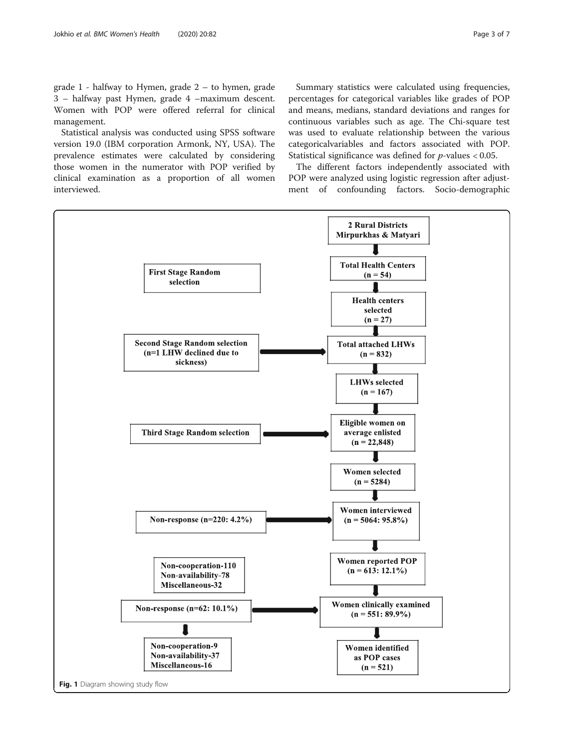<span id="page-2-0"></span>grade 1 - halfway to Hymen, grade 2 – to hymen, grade 3 – halfway past Hymen, grade 4 –maximum descent. Women with POP were offered referral for clinical management.

Statistical analysis was conducted using SPSS software version 19.0 (IBM corporation Armonk, NY, USA). The prevalence estimates were calculated by considering those women in the numerator with POP verified by clinical examination as a proportion of all women interviewed.

Summary statistics were calculated using frequencies, percentages for categorical variables like grades of POP and means, medians, standard deviations and ranges for continuous variables such as age. The Chi-square test was used to evaluate relationship between the various categoricalvariables and factors associated with POP. Statistical significance was defined for p-values < 0.05.

The different factors independently associated with POP were analyzed using logistic regression after adjustment of confounding factors. Socio-demographic

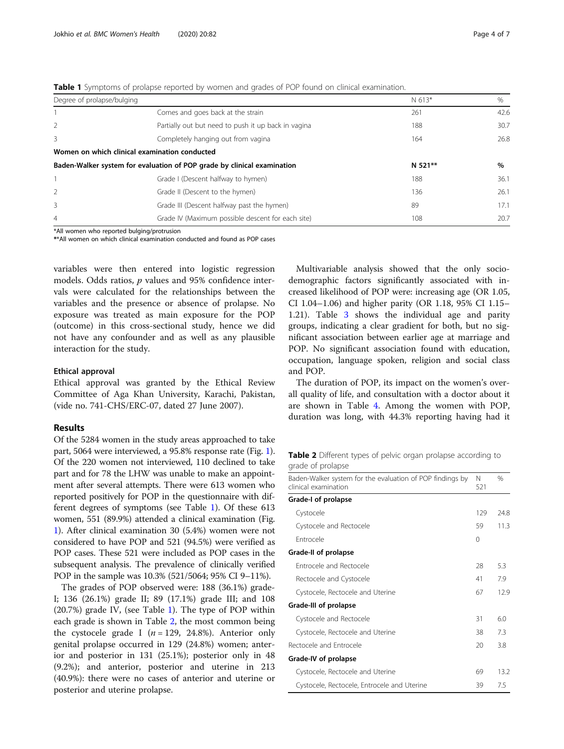| Degree of prolapse/bulging                                              |                                                     | N 613*  | $\%$ |
|-------------------------------------------------------------------------|-----------------------------------------------------|---------|------|
|                                                                         | Comes and goes back at the strain                   | 261     | 42.6 |
| 2                                                                       | Partially out but need to push it up back in vagina | 188     | 30.7 |
| 3                                                                       | Completely hanging out from vagina                  | 164     | 26.8 |
|                                                                         | Women on which clinical examination conducted       |         |      |
| Baden-Walker system for evaluation of POP grade by clinical examination |                                                     | N 521** | %    |
|                                                                         | Grade I (Descent halfway to hymen)                  | 188     | 36.1 |
| $\mathcal{P}$                                                           | Grade II (Descent to the hymen)                     | 136     | 26.1 |
| 3                                                                       | Grade III (Descent halfway past the hymen)          | 89      | 17.1 |
| $\overline{4}$                                                          | Grade IV (Maximum possible descent for each site)   | 108     | 20.7 |

Table 1 Symptoms of prolapse reported by women and grades of POP found on clinical examination.

\*All women who reported bulging/protrusion

\*\*All women on which clinical examination conducted and found as POP cases

variables were then entered into logistic regression models. Odds ratios, p values and 95% confidence intervals were calculated for the relationships between the variables and the presence or absence of prolapse. No exposure was treated as main exposure for the POP (outcome) in this cross-sectional study, hence we did not have any confounder and as well as any plausible interaction for the study.

#### Ethical approval

Ethical approval was granted by the Ethical Review Committee of Aga Khan University, Karachi, Pakistan, (vide no. 741-CHS/ERC-07, dated 27 June 2007).

### Results

Of the 5284 women in the study areas approached to take part, 5064 were interviewed, a 95.8% response rate (Fig. [1](#page-2-0)). Of the 220 women not interviewed, 110 declined to take part and for 78 the LHW was unable to make an appointment after several attempts. There were 613 women who reported positively for POP in the questionnaire with different degrees of symptoms (see Table 1). Of these 613 women, 551 (89.9%) attended a clinical examination (Fig. [1\)](#page-2-0). After clinical examination 30 (5.4%) women were not considered to have POP and 521 (94.5%) were verified as POP cases. These 521 were included as POP cases in the subsequent analysis. The prevalence of clinically verified POP in the sample was 10.3% (521/5064; 95% CI 9–11%).

The grades of POP observed were: 188 (36.1%) grade-I; 136 (26.1%) grade II; 89 (17.1%) grade III; and 108 (20.7%) grade IV, (see Table 1). The type of POP within each grade is shown in Table 2, the most common being the cystocele grade I ( $n = 129$ , 24.8%). Anterior only genital prolapse occurred in 129 (24.8%) women; anterior and posterior in 131 (25.1%); posterior only in 48 (9.2%); and anterior, posterior and uterine in 213 (40.9%): there were no cases of anterior and uterine or posterior and uterine prolapse.

Multivariable analysis showed that the only sociodemographic factors significantly associated with increased likelihood of POP were: increasing age (OR 1.05, CI 1.04–1.06) and higher parity (OR 1.18, 95% CI 1.15– 1.21). Table [3](#page-4-0) shows the individual age and parity groups, indicating a clear gradient for both, but no significant association between earlier age at marriage and POP. No significant association found with education, occupation, language spoken, religion and social class and POP.

The duration of POP, its impact on the women's overall quality of life, and consultation with a doctor about it are shown in Table [4.](#page-5-0) Among the women with POP, duration was long, with 44.3% reporting having had it

Table 2 Different types of pelvic organ prolapse according to grade of prolapse

| Baden-Walker system for the evaluation of POP findings by<br>clinical examination | N<br>521 | $\%$ |
|-----------------------------------------------------------------------------------|----------|------|
| Grade-I of prolapse                                                               |          |      |
| Cystocele                                                                         | 129      | 24.8 |
| Cystocele and Rectocele                                                           | 59       | 11.3 |
| Entrocele                                                                         | 0        |      |
| Grade-II of prolapse                                                              |          |      |
| Entrocele and Rectocele                                                           | 28       | 5.3  |
| Rectocele and Cystocele                                                           | 41       | 7.9  |
| Cystocele, Rectocele and Uterine                                                  | 67       | 12.9 |
| Grade-III of prolapse                                                             |          |      |
| Cystocele and Rectocele                                                           | 31       | 6.0  |
| Cystocele, Rectocele and Uterine                                                  | 38       | 7.3  |
| Rectocele and Entrocele                                                           | 20       | 3.8  |
| Grade-IV of prolapse                                                              |          |      |
| Cystocele, Rectocele and Uterine                                                  | 69       | 13.2 |
| Cystocele, Rectocele, Entrocele and Uterine                                       | 39       | 7.5  |
|                                                                                   |          |      |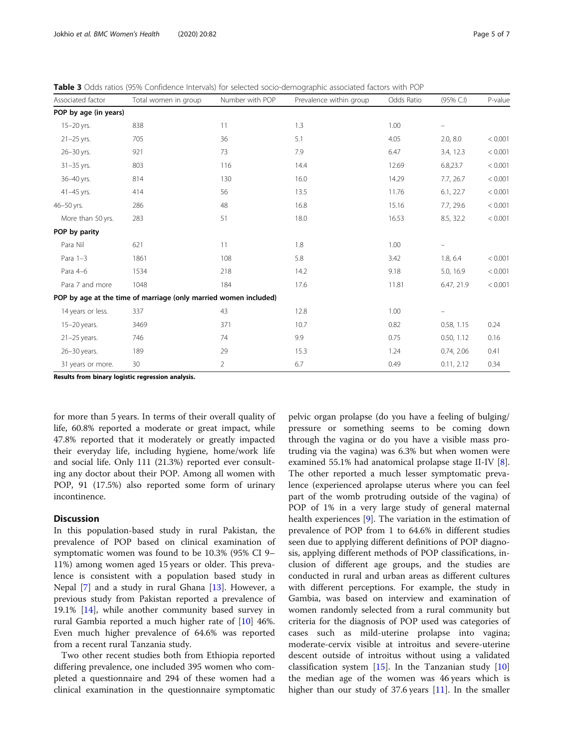<span id="page-4-0"></span>Table 3 Odds ratios (95% Confidence Intervals) for selected socio-demographic associated factors with POP

| Associated factor     | Total women in group                                             | Number with POP | Prevalence within group | Odds Ratio | (95% C.1)  | P-value |
|-----------------------|------------------------------------------------------------------|-----------------|-------------------------|------------|------------|---------|
| POP by age (in years) |                                                                  |                 |                         |            |            |         |
| 15-20 yrs.            | 838                                                              | 11              | 1.3                     | 1.00       |            |         |
| $21 - 25$ yrs.        | 705                                                              | 36              | 5.1                     | 4.05       | 2.0, 8.0   | < 0.001 |
| 26-30 yrs.            | 921                                                              | 73              | 7.9                     | 6.47       | 3.4, 12.3  | < 0.001 |
| $31 - 35$ yrs.        | 803                                                              | 116             | 14.4                    | 12.69      | 6.8,23.7   | < 0.001 |
| 36-40 yrs.            | 814                                                              | 130             | 16.0                    | 14.29      | 7.7, 26.7  | < 0.001 |
| 41-45 yrs.            | 414                                                              | 56              | 13.5                    | 11.76      | 6.1, 22.7  | < 0.001 |
| 46-50 yrs.            | 286                                                              | 48              | 16.8                    | 15.16      | 7.7, 29.6  | < 0.001 |
| More than 50 yrs.     | 283                                                              | 51              | 18.0                    | 16.53      | 8.5, 32.2  | < 0.001 |
| POP by parity         |                                                                  |                 |                         |            |            |         |
| Para Nil              | 621                                                              | 11              | 1.8                     | 1.00       |            |         |
| Para 1-3              | 1861                                                             | 108             | 5.8                     | 3.42       | 1.8, 6.4   | < 0.001 |
| Para 4-6              | 1534                                                             | 218             | 14.2                    | 9.18       | 5.0, 16.9  | < 0.001 |
| Para 7 and more       | 1048                                                             | 184             | 17.6                    | 11.81      | 6.47, 21.9 | < 0.001 |
|                       | POP by age at the time of marriage (only married women included) |                 |                         |            |            |         |
| 14 years or less.     | 337                                                              | 43              | 12.8                    | 1.00       |            |         |
| 15-20 years.          | 3469                                                             | 371             | 10.7                    | 0.82       | 0.58, 1.15 | 0.24    |
| $21 - 25$ years.      | 746                                                              | 74              | 9.9                     | 0.75       | 0.50, 1.12 | 0.16    |
| 26-30 years.          | 189                                                              | 29              | 15.3                    | 1.24       | 0.74, 2.06 | 0.41    |
| 31 years or more.     | 30                                                               | 2               | 6.7                     | 0.49       | 0.11, 2.12 | 0.34    |

Results from binary logistic regression analysis.

for more than 5 years. In terms of their overall quality of life, 60.8% reported a moderate or great impact, while 47.8% reported that it moderately or greatly impacted their everyday life, including hygiene, home/work life and social life. Only 111 (21.3%) reported ever consulting any doctor about their POP. Among all women with POP, 91 (17.5%) also reported some form of urinary incontinence.

#### **Discussion**

In this population-based study in rural Pakistan, the prevalence of POP based on clinical examination of symptomatic women was found to be 10.3% (95% CI 9– 11%) among women aged 15 years or older. This prevalence is consistent with a population based study in Nepal [\[7\]](#page-6-0) and a study in rural Ghana [\[13\]](#page-6-0). However, a previous study from Pakistan reported a prevalence of 19.1% [[14](#page-6-0)], while another community based survey in rural Gambia reported a much higher rate of [[10\]](#page-6-0) 46%. Even much higher prevalence of 64.6% was reported from a recent rural Tanzania study.

Two other recent studies both from Ethiopia reported differing prevalence, one included 395 women who completed a questionnaire and 294 of these women had a clinical examination in the questionnaire symptomatic pelvic organ prolapse (do you have a feeling of bulging/ pressure or something seems to be coming down through the vagina or do you have a visible mass protruding via the vagina) was 6.3% but when women were examined 55.1% had anatomical prolapse stage II-IV [\[8](#page-6-0)]. The other reported a much lesser symptomatic prevalence (experienced aprolapse uterus where you can feel part of the womb protruding outside of the vagina) of POP of 1% in a very large study of general maternal health experiences [[9](#page-6-0)]. The variation in the estimation of prevalence of POP from 1 to 64.6% in different studies seen due to applying different definitions of POP diagnosis, applying different methods of POP classifications, inclusion of different age groups, and the studies are conducted in rural and urban areas as different cultures with different perceptions. For example, the study in Gambia, was based on interview and examination of women randomly selected from a rural community but criteria for the diagnosis of POP used was categories of cases such as mild-uterine prolapse into vagina; moderate-cervix visible at introitus and severe-uterine descent outside of introitus without using a validated classification system  $[15]$ . In the Tanzanian study  $[10]$  $[10]$  $[10]$ the median age of the women was 46 years which is higher than our study of 37.6 years [\[11\]](#page-6-0). In the smaller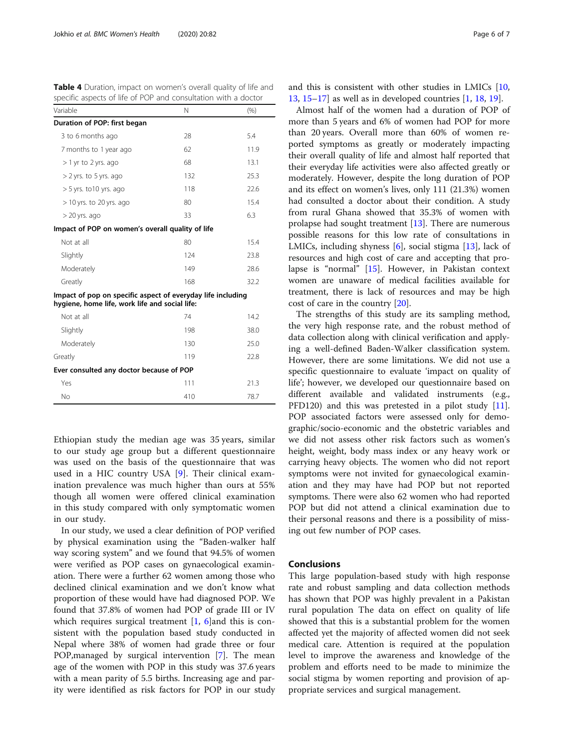| Variable                                                                                                      | N   | (% ) |  |  |  |
|---------------------------------------------------------------------------------------------------------------|-----|------|--|--|--|
| Duration of POP: first began                                                                                  |     |      |  |  |  |
| 3 to 6 months ago                                                                                             | 28  | 5.4  |  |  |  |
| 7 months to 1 year ago                                                                                        | 62  | 11.9 |  |  |  |
| $>1$ yr to 2 yrs. ago                                                                                         | 68  | 13.1 |  |  |  |
| $>$ 2 yrs. to 5 yrs. ago                                                                                      | 132 | 25.3 |  |  |  |
| $>$ 5 yrs. to 10 yrs. ago                                                                                     | 118 | 22.6 |  |  |  |
| $>$ 10 yrs. to 20 yrs. ago                                                                                    | 80  | 15.4 |  |  |  |
| $>$ 20 yrs. ago                                                                                               | 33  | 6.3  |  |  |  |
| Impact of POP on women's overall quality of life                                                              |     |      |  |  |  |
| Not at all                                                                                                    | 80  | 15.4 |  |  |  |
| Slightly                                                                                                      | 124 | 23.8 |  |  |  |
| Moderately                                                                                                    | 149 | 28.6 |  |  |  |
| Greatly                                                                                                       | 168 | 32.2 |  |  |  |
| Impact of pop on specific aspect of everyday life including<br>hygiene, home life, work life and social life: |     |      |  |  |  |
| Not at all                                                                                                    | 74  | 14.2 |  |  |  |
| Slightly                                                                                                      | 198 | 38.0 |  |  |  |
| Moderately                                                                                                    | 130 | 25.0 |  |  |  |
| Greatly                                                                                                       | 119 | 22.8 |  |  |  |
| Ever consulted any doctor because of POP                                                                      |     |      |  |  |  |
| Yes                                                                                                           | 111 | 21.3 |  |  |  |
| No.                                                                                                           | 410 | 78.7 |  |  |  |

<span id="page-5-0"></span>Table 4 Duration, impact on women's overall quality of life and specific aspects of life of POP and consultation with a doctor

Ethiopian study the median age was 35 years, similar to our study age group but a different questionnaire was used on the basis of the questionnaire that was used in a HIC country USA [\[9](#page-6-0)]. Their clinical examination prevalence was much higher than ours at 55% though all women were offered clinical examination in this study compared with only symptomatic women in our study.

In our study, we used a clear definition of POP verified by physical examination using the "Baden-walker half way scoring system" and we found that 94.5% of women were verified as POP cases on gynaecological examination. There were a further 62 women among those who declined clinical examination and we don't know what proportion of these would have had diagnosed POP. We found that 37.8% of women had POP of grade III or IV which requires surgical treatment  $[1, 6]$  $[1, 6]$  $[1, 6]$  $[1, 6]$  and this is consistent with the population based study conducted in Nepal where 38% of women had grade three or four POP,managed by surgical intervention [[7](#page-6-0)]. The mean age of the women with POP in this study was 37.6 years with a mean parity of 5.5 births. Increasing age and parity were identified as risk factors for POP in our study and this is consistent with other studies in LMICs [[10](#page-6-0), [13,](#page-6-0) [15](#page-6-0)–[17](#page-6-0)] as well as in developed countries [[1,](#page-6-0) [18](#page-6-0), [19](#page-6-0)].

Almost half of the women had a duration of POP of more than 5 years and 6% of women had POP for more than 20 years. Overall more than 60% of women reported symptoms as greatly or moderately impacting their overall quality of life and almost half reported that their everyday life activities were also affected greatly or moderately. However, despite the long duration of POP and its effect on women's lives, only 111 (21.3%) women had consulted a doctor about their condition. A study from rural Ghana showed that 35.3% of women with prolapse had sought treatment [\[13](#page-6-0)]. There are numerous possible reasons for this low rate of consultations in LMICs, including shyness [\[6](#page-6-0)], social stigma [[13\]](#page-6-0), lack of resources and high cost of care and accepting that prolapse is "normal" [[15](#page-6-0)]. However, in Pakistan context women are unaware of medical facilities available for treatment, there is lack of resources and may be high cost of care in the country [\[20\]](#page-6-0).

The strengths of this study are its sampling method, the very high response rate, and the robust method of data collection along with clinical verification and applying a well-defined Baden-Walker classification system. However, there are some limitations. We did not use a specific questionnaire to evaluate 'impact on quality of life'; however, we developed our questionnaire based on different available and validated instruments (e.g., PFD120) and this was pretested in a pilot study [\[11](#page-6-0)]. POP associated factors were assessed only for demographic/socio-economic and the obstetric variables and we did not assess other risk factors such as women's height, weight, body mass index or any heavy work or carrying heavy objects. The women who did not report symptoms were not invited for gynaecological examination and they may have had POP but not reported symptoms. There were also 62 women who had reported POP but did not attend a clinical examination due to their personal reasons and there is a possibility of missing out few number of POP cases.

### **Conclusions**

This large population-based study with high response rate and robust sampling and data collection methods has shown that POP was highly prevalent in a Pakistan rural population The data on effect on quality of life showed that this is a substantial problem for the women affected yet the majority of affected women did not seek medical care. Attention is required at the population level to improve the awareness and knowledge of the problem and efforts need to be made to minimize the social stigma by women reporting and provision of appropriate services and surgical management.